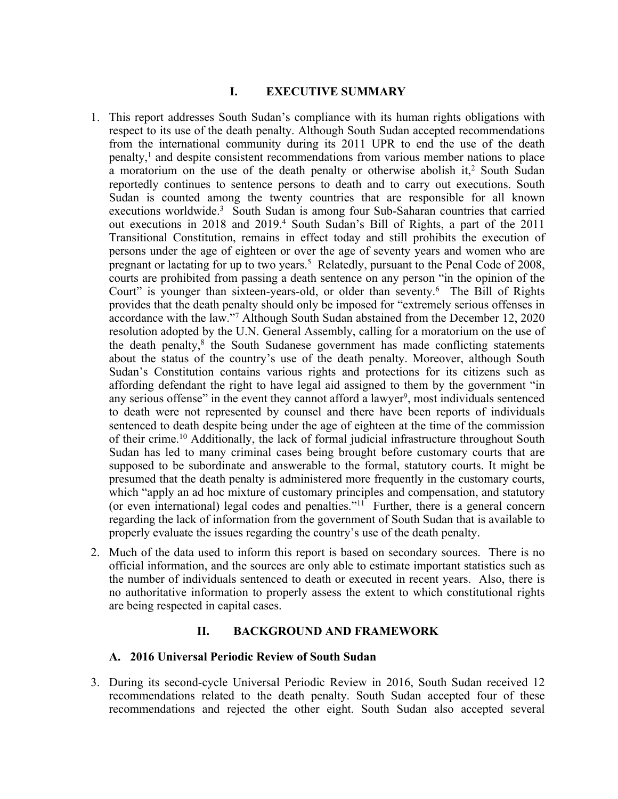#### **I. EXECUTIVE SUMMARY**

- 1. This repor<sup>t</sup> addresses South Sudan'<sup>s</sup> compliance with its human rights obligations with respec<sup>t</sup> to its use of the death penalty. Although South Sudan accepted recommendations from the international community during its 2011 UPR to end the use of the death penalty, 1 and despite consistent recommendations from various member nations to place a moratorium on the use of the death penalty or otherwise abolish it,<sup>2</sup> South Sudan reportedly continues to sentence persons to death and to carry out executions. South Sudan is counted among the twenty countries that are responsible for all known executions worldwide. 3 South Sudan is among four Sub-Saharan countries that carried out executions in 2018 and 2019. 4 South Sudan'<sup>s</sup> Bill of Rights, <sup>a</sup> par<sup>t</sup> of the 2011 Transitional Constitution, remains in effect today and still prohibits the execution of persons under the age of eighteen or over the age of seventy years and women who are pregnan<sup>t</sup> or lactating for up to two years. <sup>5</sup> Relatedly, pursuan<sup>t</sup> to the Penal Code of 2008, courts are prohibited from passing <sup>a</sup> death sentence on any person "in the opinion of the Court" is younger than sixteen-years-old, or older than seventy.<sup>6</sup> The Bill of Rights provides that the death penalty should only be imposed for "extremely serious offenses in accordance with the law."<sup>7</sup> Although South Sudan abstained from the December 12, 2020 resolution adopted by the U.N. General Assembly, calling for <sup>a</sup> moratorium on the use of the death penalty,<sup>8</sup> the South Sudanese government has made conflicting statements about the status of the country'<sup>s</sup> use of the death penalty. Moreover, although South Sudan'<sup>s</sup> Constitution contains various rights and protections for its citizens such as affording defendant the right to have legal aid assigned to them by the governmen<sup>t</sup> "in any serious offense" in the event they cannot afford a lawyer<sup>9</sup>, most individuals sentenced to death were not represented by counsel and there have been reports of individuals sentenced to death despite being under the age of eighteen at the time of the commission of their crime. <sup>10</sup> Additionally, the lack of formal judicial infrastructure throughout South Sudan has led to many criminal cases being brought before customary courts that are supposed to be subordinate and answerable to the formal, statutory courts. It might be presumed that the death penalty is administered more frequently in the customary courts, which "apply an ad hoc mixture of customary principles and compensation, and statutory (or even international) legal codes and penalties."<sup>11</sup> Further, there is a general concern regarding the lack of information from the governmen<sup>t</sup> of South Sudan that is available to properly evaluate the issues regarding the country'<sup>s</sup> use of the death penalty.
- 2. Much of the data used to inform this repor<sup>t</sup> is based on secondary sources. There is no official information, and the sources are only able to estimate important statistics such as the number of individuals sentenced to death or executed in recent years. Also, there is no authoritative information to properly assess the extent to which constitutional rights are being respected in capital cases.

#### **II. BACKGROUND AND FRAMEWORK**

#### **A. 2016 Universal Periodic Review of South Sudan**

3. During its second-cycle Universal Periodic Review in 2016, South Sudan received 12 recommendations related to the death penalty. South Sudan accepted four of these recommendations and rejected the other eight. South Sudan also accepted several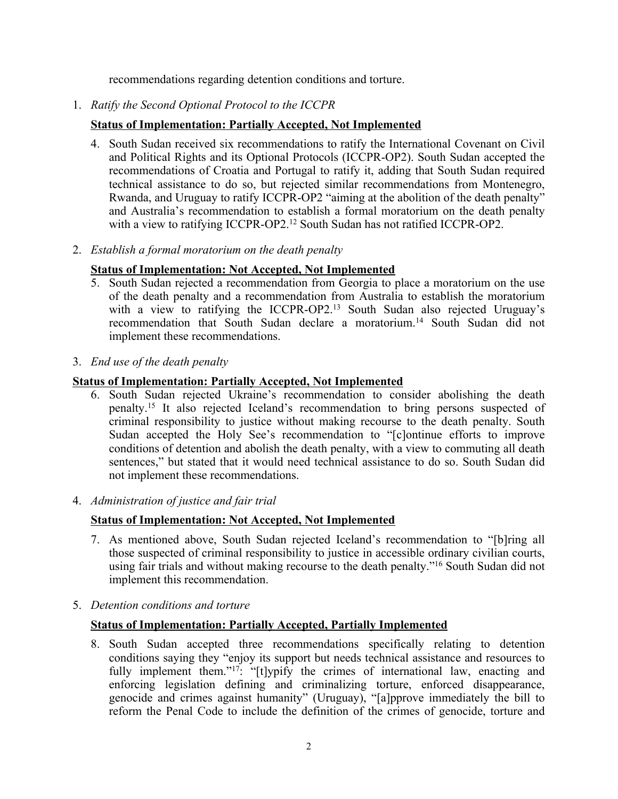recommendations regarding detention conditions and torture.

1. *Ratify the Second Optional Protocol to the ICCPR*

# **Status of Implementation: Partially Accepted, Not Implemented**

- 4. South Sudan received six recommendations to ratify the International Covenant on Civil and Political Rights and its Optional Protocols (ICCPR-OP2). South Sudan accepted the recommendations of Croatia and Portugal to ratify it, adding that South Sudan required technical assistance to do so, but rejected similar recommendations from Montenegro, Rwanda, and Uruguay to ratify ICCPR-OP2 "aiming at the abolition of the death penalty" and Australia'<sup>s</sup> recommendation to establish <sup>a</sup> formal moratorium on the death penalty with <sup>a</sup> view to ratifying ICCPR-OP2. 12 South Sudan has not ratified ICCPR-OP2.
- 2. *Establish <sup>a</sup> formal moratorium on the death penalty*

### **Status of Implementation: Not Accepted, Not Implemented**

- 5. South Sudan rejected <sup>a</sup> recommendation from Georgia to place <sup>a</sup> moratorium on the use of the death penalty and <sup>a</sup> recommendation from Australia to establish the moratorium with <sup>a</sup> view to ratifying the ICCPR-OP2. 13 South Sudan also rejected Uruguay'<sup>s</sup> recommendation that South Sudan declare <sup>a</sup> moratorium. 14 South Sudan did not implement these recommendations.
- 3. *End use of the death penalty*

### **Status of Implementation: Partially Accepted, Not Implemented**

- 6. South Sudan rejected Ukraine'<sup>s</sup> recommendation to consider abolishing the death penalty. 15 It also rejected Iceland'<sup>s</sup> recommendation to bring persons suspected of criminal responsibility to justice without making recourse to the death penalty. South Sudan accepted the Holy See'<sup>s</sup> recommendation to "[c]ontinue efforts to improve conditions of detention and abolish the death penalty, with <sup>a</sup> view to commuting all death sentences," but stated that it would need technical assistance to do so. South Sudan did not implement these recommendations.
- 4. *Administration of justice and fair trial*

# **Status of Implementation: Not Accepted, Not Implemented**

- 7. As mentioned above, South Sudan rejected Iceland'<sup>s</sup> recommendation to "[b]ring all those suspected of criminal responsibility to justice in accessible ordinary civilian courts, using fair trials and without making recourse to the death penalty."<sup>16</sup> South Sudan did not implement this recommendation.
- 5. *Detention conditions and torture*

# **Status of Implementation: Partially Accepted, Partially Implemented**

8. South Sudan accepted three recommendations specifically relating to detention conditions saying they "enjoy its suppor<sup>t</sup> but needs technical assistance and resources to fully implement them."<sup>17</sup>: "[t]ypify the crimes of international law, enacting and enforcing legislation defining and criminalizing torture, enforced disappearance, genocide and crimes against humanity" (Uruguay), "[a]pprove immediately the bill to reform the Penal Code to include the definition of the crimes of genocide, torture and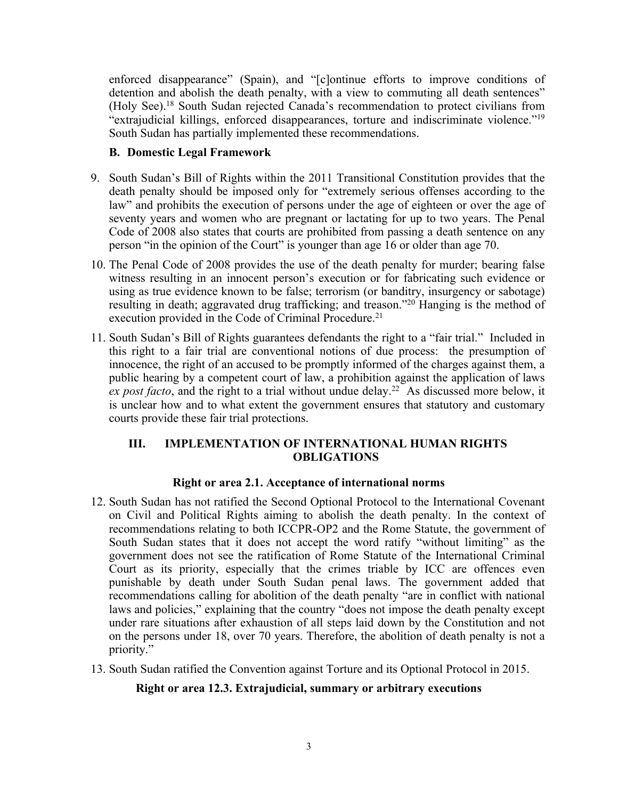enforced disappearance" (Spain), and "[c]ontinue efforts to improve conditions of detention and abolish the death penalty, with <sup>a</sup> view to commuting all death sentences" (Holy See). 18 South Sudan rejected Canada'<sup>s</sup> recommendation to protect civilians from "extrajudicial killings, enforced disappearances, torture and indiscriminate violence."<sup>19</sup> South Sudan has partially implemented these recommendations.

### **B. Domestic Legal Framework**

- 9. South Sudan'<sup>s</sup> Bill of Rights within the 2011 Transitional Constitution provides that the death penalty should be imposed only for "extremely serious offenses according to the law" and prohibits the execution of persons under the age of eighteen or over the age of seventy years and women who are pregnan<sup>t</sup> or lactating for up to two years. The Penal Code of 2008 also states that courts are prohibited from passing <sup>a</sup> death sentence on any person "in the opinion of the Court" is younger than age 16 or older than age 70.
- 10. The Penal Code of 2008 provides the use of the death penalty for murder; bearing false witness resulting in an innocent person'<sup>s</sup> execution or for fabricating such evidence or using as true evidence known to be false; terrorism (or banditry, insurgency or sabotage) resulting in death; aggravated drug trafficking; and treason."<sup>20</sup> Hanging is the method of execution provided in the Code of Criminal Procedure.<sup>21</sup>
- 11. South Sudan'<sup>s</sup> Bill of Rights guarantees defendants the right to <sup>a</sup> "fair trial." Included in this right to <sup>a</sup> fair trial are conventional notions of due process: the presumption of innocence, the right of an accused to be promptly informed of the charges against them, <sup>a</sup> public hearing by <sup>a</sup> competent court of law, <sup>a</sup> prohibition against the application of laws *ex pos<sup>t</sup> facto*, and the right to <sup>a</sup> trial without undue delay. <sup>22</sup> As discussed more below, it is unclear how and to what extent the governmen<sup>t</sup> ensures that statutory and customary courts provide these fair trial protections.

### **III. IMPLEMENTATION OF INTERNATIONAL HUMAN RIGHTS OBLIGATIONS**

# **Right or area 2.1. Acceptance of international norms**

- 12. South Sudan has not ratified the Second Optional Protocol to the International Covenant on Civil and Political Rights aiming to abolish the death penalty. In the context of recommendations relating to both ICCPR-OP2 and the Rome Statute, the governmen<sup>t</sup> of South Sudan states that it does not accep<sup>t</sup> the word ratify "without limiting" as the governmen<sup>t</sup> does not see the ratification of Rome Statute of the International Criminal Court as its priority, especially that the crimes triable by ICC are offences even punishable by death under South Sudan penal laws. The governmen<sup>t</sup> added that recommendations calling for abolition of the death penalty "are in conflict with national laws and policies," explaining that the country "does not impose the death penalty except under rare situations after exhaustion of all steps laid down by the Constitution and not on the persons under 18, over 70 years. Therefore, the abolition of death penalty is not <sup>a</sup> priority."
- 13. South Sudan ratified the Convention against Torture and its Optional Protocol in 2015.

# **Right or area 12.3. Extrajudicial, summary or arbitrary executions**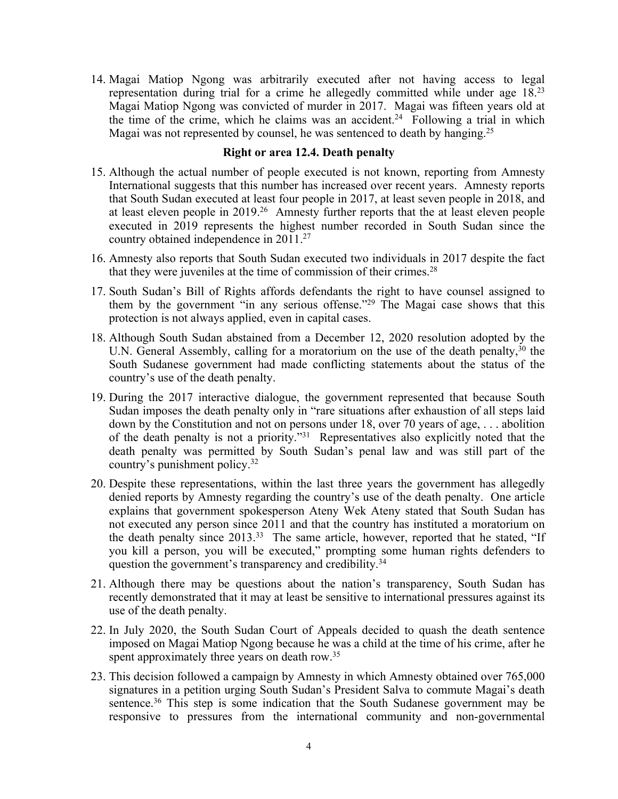14. Magai Matiop Ngong was arbitrarily executed after not having access to legal representation during trial for <sup>a</sup> crime he allegedly committed while under age 18. 23 Magai Matiop Ngong was convicted of murder in 2017. Magai was fifteen years old at the time of the crime, which he claims was an accident.<sup>24</sup> Following a trial in which Magai was not represented by counsel, he was sentenced to death by hanging.<sup>25</sup>

#### **Right or area 12.4. Death penalty**

- 15. Although the actual number of people executed is not known, reporting from Amnesty International suggests that this number has increased over recent years. Amnesty reports that South Sudan executed at least four people in 2017, at least seven people in 2018, and at least eleven people in 2019. <sup>26</sup> Amnesty further reports that the at least eleven people executed in 2019 represents the highest number recorded in South Sudan since the country obtained independence in 2011. 27
- 16. Amnesty also reports that South Sudan executed two individuals in 2017 despite the fact that they were juveniles at the time of commission of their crimes.<sup>28</sup>
- 17. South Sudan'<sup>s</sup> Bill of Rights affords defendants the right to have counsel assigned to them by the governmen<sup>t</sup> "in any serious offense."<sup>29</sup> The Magai case shows that this protection is not always applied, even in capital cases.
- 18. Although South Sudan abstained from <sup>a</sup> December 12, 2020 resolution adopted by the U.N. General Assembly, calling for a moratorium on the use of the death penalty,<sup>30</sup> the South Sudanese governmen<sup>t</sup> had made conflicting statements about the status of the country'<sup>s</sup> use of the death penalty.
- 19. During the 2017 interactive dialogue, the governmen<sup>t</sup> represented that because South Sudan imposes the death penalty only in "rare situations after exhaustion of all steps laid down by the Constitution and not on persons under 18, over 70 years of age, . . . abolition of the death penalty is not <sup>a</sup> priority."<sup>31</sup> Representatives also explicitly noted that the death penalty was permitted by South Sudan'<sup>s</sup> penal law and was still par<sup>t</sup> of the country'<sup>s</sup> punishment policy. 32
- 20. Despite these representations, within the last three years the governmen<sup>t</sup> has allegedly denied reports by Amnesty regarding the country'<sup>s</sup> use of the death penalty. One article explains that governmen<sup>t</sup> spokesperson Ateny Wek Ateny stated that South Sudan has not executed any person since 2011 and that the country has instituted <sup>a</sup> moratorium on the death penalty since 2013.<sup>33</sup> The same article, however, reported that he stated, "If you kill <sup>a</sup> person, you will be executed," prompting some human rights defenders to question the government's transparency and credibility.<sup>34</sup>
- 21. Although there may be questions about the nation'<sup>s</sup> transparency, South Sudan has recently demonstrated that it may at least be sensitive to international pressures against its use of the death penalty.
- 22. In July 2020, the South Sudan Court of Appeals decided to quash the death sentence imposed on Magai Matiop Ngong because he was <sup>a</sup> child at the time of his crime, after he spent approximately three years on death row.<sup>35</sup>
- 23. This decision followed <sup>a</sup> campaign by Amnesty in which Amnesty obtained over 765,000 signatures in <sup>a</sup> petition urging South Sudan'<sup>s</sup> President Salva to commute Magai'<sup>s</sup> death sentence.<sup>36</sup> This step is some indication that the South Sudanese government may be responsive to pressures from the international community and non-governmental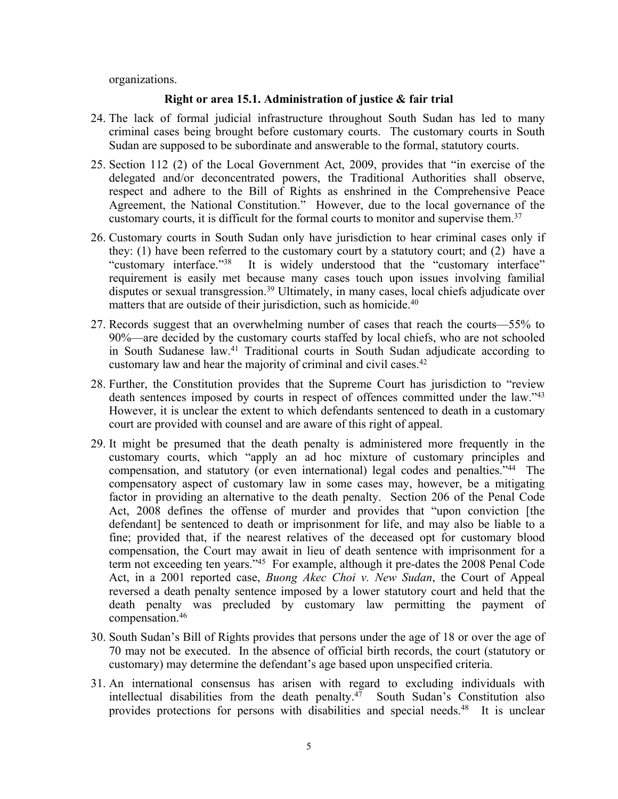organizations.

#### **Right or area 15.1. Administration of justice & fair trial**

- 24. The lack of formal judicial infrastructure throughout South Sudan has led to many criminal cases being brought before customary courts. The customary courts in South Sudan are supposed to be subordinate and answerable to the formal, statutory courts.
- 25. Section 112 (2) of the Local Government Act, 2009, provides that "in exercise of the delegated and/or deconcentrated powers, the Traditional Authorities shall observe, respec<sup>t</sup> and adhere to the Bill of Rights as enshrined in the Comprehensive Peace Agreement, the National Constitution." However, due to the local governance of the customary courts, it is difficult for the formal courts to monitor and supervise them. 37
- 26. Customary courts in South Sudan only have jurisdiction to hear criminal cases only if they: (1) have been referred to the customary court by <sup>a</sup> statutory court; and (2) have <sup>a</sup> "customary interface."<sup>38</sup> It is widely understood that the "customary interface" requirement is easily met because many cases touch upon issues involving familial disputes or sexual transgression. <sup>39</sup> Ultimately, in many cases, local chiefs adjudicate over matters that are outside of their jurisdiction, such as homicide. 40
- 27. Records sugges<sup>t</sup> that an overwhelming number of cases that reach the courts—55% to 90%—are decided by the customary courts staffed by local chiefs, who are not schooled in South Sudanese law. 41 Traditional courts in South Sudan adjudicate according to customary law and hear the majority of criminal and civil cases. 42
- 28. Further, the Constitution provides that the Supreme Court has jurisdiction to "review death sentences imposed by courts in respect of offences committed under the law."<sup>43</sup> However, it is unclear the extent to which defendants sentenced to death in <sup>a</sup> customary court are provided with counsel and are aware of this right of appeal.
- 29. It might be presumed that the death penalty is administered more frequently in the customary courts, which "apply an ad hoc mixture of customary principles and compensation, and statutory (or even international) legal codes and penalties."<sup>44</sup> The compensatory aspec<sup>t</sup> of customary law in some cases may, however, be <sup>a</sup> mitigating factor in providing an alternative to the death penalty. Section 206 of the Penal Code Act, 2008 defines the offense of murder and provides that "upon conviction [the defendant] be sentenced to death or imprisonment for life, and may also be liable to <sup>a</sup> fine; provided that, if the nearest relatives of the deceased op<sup>t</sup> for customary blood compensation, the Court may await in lieu of death sentence with imprisonment for <sup>a</sup> term not exceeding ten years."<sup>45</sup> For example, although it pre-dates the 2008 Penal Code Act, in <sup>a</sup> 2001 reported case, *Buong Akec Choi v. New Sudan*, the Court of Appeal reversed <sup>a</sup> death penalty sentence imposed by <sup>a</sup> lower statutory court and held that the death penalty was precluded by customary law permitting the paymen<sup>t</sup> of compensation. 46
- 30. South Sudan'<sup>s</sup> Bill of Rights provides that persons under the age of 18 or over the age of 70 may not be executed. In the absence of official birth records, the court (statutory or customary) may determine the defendant'<sup>s</sup> age based upon unspecified criteria.
- 31. An international consensus has arisen with regard to excluding individuals with intellectual disabilities from the death penalty. 47 South Sudan'<sup>s</sup> Constitution also provides protections for persons with disabilities and special needs. 48 It is unclear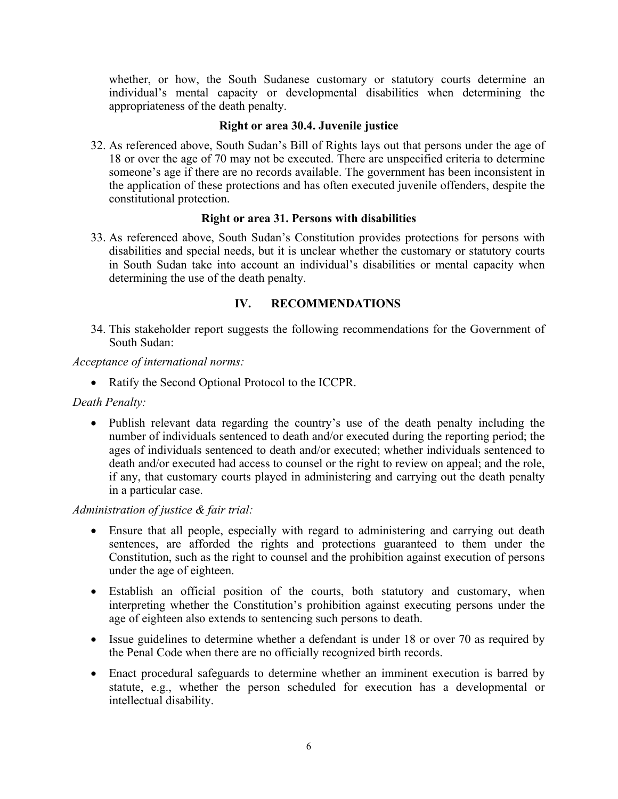whether, or how, the South Sudanese customary or statutory courts determine an individual'<sup>s</sup> mental capacity or developmental disabilities when determining the appropriateness of the death penalty.

## **Right or area 30.4. Juvenile justice**

32. As referenced above, South Sudan'<sup>s</sup> Bill of Rights lays out that persons under the age of 18 or over the age of 70 may not be executed. There are unspecified criteria to determine someone'<sup>s</sup> age if there are no records available. The governmen<sup>t</sup> has been inconsistent in the application of these protections and has often executed juvenile offenders, despite the constitutional protection.

### **Right or area 31. Persons with disabilities**

33. As referenced above, South Sudan'<sup>s</sup> Constitution provides protections for persons with disabilities and special needs, but it is unclear whether the customary or statutory courts in South Sudan take into account an individual'<sup>s</sup> disabilities or mental capacity when determining the use of the death penalty.

# **IV. RECOMMENDATIONS**

34. This stakeholder repor<sup>t</sup> suggests the following recommendations for the Government of South Sudan:

*Acceptance of international norms:*

• Ratify the Second Optional Protocol to the ICCPR.

*Death Penalty:*

• Publish relevant data regarding the country's use of the death penalty including the number of individuals sentenced to death and/or executed during the reporting period; the ages of individuals sentenced to death and/or executed; whether individuals sentenced to death and/or executed had access to counsel or the right to review on appeal; and the role, if any, that customary courts played in administering and carrying out the death penalty in <sup>a</sup> particular case.

*Administration of justice & fair trial:*

- Ensure that all people, especially with regard to administering and carrying out death sentences, are afforded the rights and protections guaranteed to them under the Constitution, such as the right to counsel and the prohibition against execution of persons under the age of eighteen.
- Establish an official position of the courts, both statutory and customary, when interpreting whether the Constitution'<sup>s</sup> prohibition against executing persons under the age of eighteen also extends to sentencing such persons to death.
- Issue guidelines to determine whether a defendant is under 18 or over 70 as required by the Penal Code when there are no officially recognized birth records.
- Enact procedural safeguards to determine whether an imminent execution is barred by statute, e.g., whether the person scheduled for execution has <sup>a</sup> developmental or intellectual disability.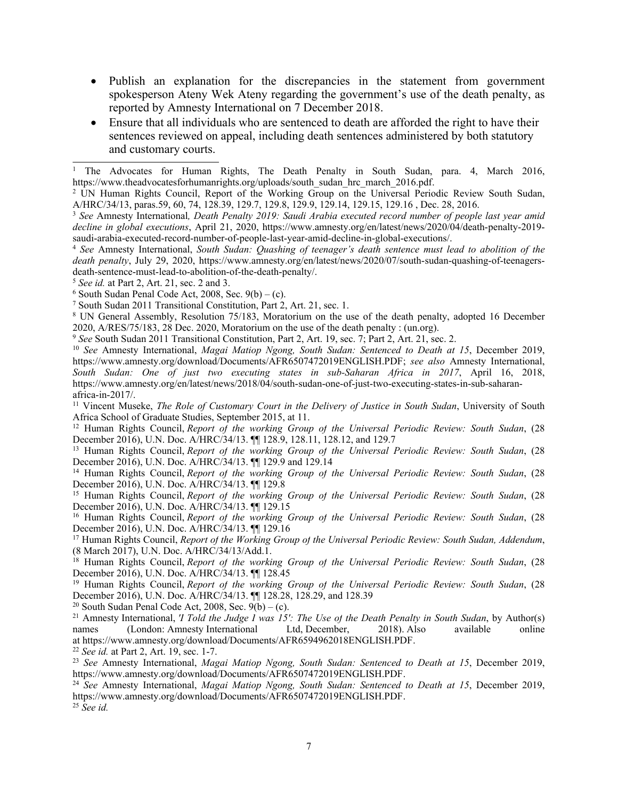- Publish an explanation for the discrepancies in the statement from government spokesperson Ateny Wek Ateny regarding the government'<sup>s</sup> use of the death penalty, as reported by Amnesty International on 7 December 2018.
- Ensure that all individuals who are sentenced to death are afforded the right to have their sentences reviewed on appeal, including death sentences administered by both statutory and customary courts.

5 *See id.* at Part 2, Art. 21, sec. 2 and 3.

 $6$  South Sudan Penal Code Act, 2008, Sec. 9(b) – (c).

7 South Sudan 2011 Transitional Constitution, Part 2, Art. 21, sec. 1.

<sup>8</sup> UN General Assembly, Resolution 75/183, Moratorium on the use of the death penalty, adopted 16 December 2020, A/RES/75/183, 28 Dec. 2020, [Moratorium](https://digitallibrary.un.org/record/3894866?ln=en) on the use of the death penalty : (un.org).

9 *See* South Sudan 2011 Transitional Constitution, Part 2, Art. 19, sec. 7; Part 2, Art. 21, sec. 2.

10 *See* Amnesty International, *Magai Matiop Ngong, South Sudan: Sentenced to Death at 15*, December 2019, <https://www.amnesty.org/download/Documents/AFR6507472019ENGLISH.PDF>; *see also* Amnesty International, *South Sudan: One of just two executing states in sub-Saharan Africa in 2017*, April 16, 2018, [https://www.amnesty.org/en/latest/news/2018/04/south-sudan-one-of-just-two-executing-states-in-sub-saharan](https://www.amnesty.org/en/latest/news/2018/04/south-sudan-one-of-just-two-executing-states-in-sub-saharan-africa-in-2017/)[africa-in-2017/](https://www.amnesty.org/en/latest/news/2018/04/south-sudan-one-of-just-two-executing-states-in-sub-saharan-africa-in-2017/).

<sup>11</sup> Vincent Museke, *The Role of Customary Court in the Delivery of Justice in South Sudan*, University of South Africa School of Graduate Studies, September 2015, at 11.

<sup>12</sup> Human Rights Council, *Report of the working Group of the Universal Periodic Review: South Sudan*, (28 December 2016), U.N. Doc. A/HRC/34/13. ¶¶ 128.9, 128.11, 128.12, and 129.7

<sup>13</sup> Human Rights Council, *Report of the working Group of the Universal Periodic Review: South Sudan*, (28 December 2016), U.N. Doc. A/HRC/34/13. ¶¶ 129.9 and 129.14

<sup>14</sup> Human Rights Council, *Report of the working Group of the Universal Periodic Review: South Sudan*, (28 December 2016), U.N. Doc. A/HRC/34/13. ¶¶ 129.8

<sup>15</sup> Human Rights Council, *Report of the working Group of the Universal Periodic Review: South Sudan*, (28 December 2016), U.N. Doc. A/HRC/34/13. ¶¶ 129.15

<sup>16</sup> Human Rights Council, *Report of the working Group of the Universal Periodic Review: South Sudan*, (28 December 2016), U.N. Doc. A/HRC/34/13. ¶¶ 129.16

<sup>17</sup> Human Rights Council, *Report of the Working Group of the Universal Periodic Review: South Sudan, Addendum*, (8 March 2017), U.N. Doc. A/HRC/34/13/Add.1.

<sup>18</sup> Human Rights Council, *Report of the working Group of the Universal Periodic Review: South Sudan*, (28 December 2016), U.N. Doc. A/HRC/34/13. ¶¶ 128.45

<sup>19</sup> Human Rights Council, *Report of the working Group of the Universal Periodic Review: South Sudan*, (28 December 2016), U.N. Doc. A/HRC/34/13. ¶¶ 128.28, 128.29, and 128.39

 $^{20}$  South Sudan Penal Code Act, 2008, Sec. 9(b) – (c).

<sup>21</sup> Amnesty International, *'I Told the Judge I was 15': The Use of the Death Penalty in South Sudan*, by Author(s) names (London: Amnesty International Ltd, December, 2018). Also available online names (London: Amnesty International Ltd, December, 2018). Also available online at <https://www.amnesty.org/download/Documents/AFR6594962018ENGLISH.PDF>.

22 *See id.* at Part 2, Art. 19, sec. 1-7.

23 *See* Amnesty International, *Magai Matiop Ngong, South Sudan: Sentenced to Death at 15*, December 2019, <https://www.amnesty.org/download/Documents/AFR6507472019ENGLISH.PDF>.

24 *See* Amnesty International, *Magai Matiop Ngong, South Sudan: Sentenced to Death at 15*, December 2019, <https://www.amnesty.org/download/Documents/AFR6507472019ENGLISH.PDF>.

25 *See id.*

<sup>1</sup> The Advocates for Human Rights, The Death Penalty in South Sudan, para. 4, March 2016, [https://www.theadvocatesforhumanrights.org/uploads/south\\_sudan\\_hrc\\_march\\_2016.pdf](https://www.theadvocatesforhumanrights.org/uploads/south_sudan_hrc_march_2016.pdf).

<sup>2</sup> UN Human Rights Council, Report of the Working Group on the Universal Periodic Review South Sudan, A/HRC/34/13, paras.59, 60, 74, 128.39, 129.7, 129.8, 129.9, 129.14, 129.15, 129.16 , Dec. 28, 2016.

<sup>3</sup> *See* Amnesty International*, Death Penalty 2019: Saudi Arabia executed record number of people last year amid decline in global executions*, April 21, 2020, [https://www.amnesty.org/en/latest/news/2020/04/death-penalty-2019](https://www.amnesty.org/en/latest/news/2020/04/death-penalty-2019-saudi-arabia-executed-record-number-of-people-last-year-amid-decline-in-global-executions/) [saudi-arabia-executed-record-number-of-people-last-year-amid-decline-in-global-executions/](https://www.amnesty.org/en/latest/news/2020/04/death-penalty-2019-saudi-arabia-executed-record-number-of-people-last-year-amid-decline-in-global-executions/).

<sup>4</sup> *See* Amnesty International, *South Sudan: Quashing of teenager'<sup>s</sup> death sentence must lead to abolition of the death penalty*, July 29, 2020, [https://www.amnesty.org/en/latest/news/2020/07/south-sudan-quashing-of-teenagers](https://www.amnesty.org/en/latest/news/2020/07/south-sudan-quashing-of-teenagers-death-sentence-must-lead-to-abolition-of-the-death-penalty/)[death-sentence-must-lead-to-abolition-of-the-death-penalty/](https://www.amnesty.org/en/latest/news/2020/07/south-sudan-quashing-of-teenagers-death-sentence-must-lead-to-abolition-of-the-death-penalty/).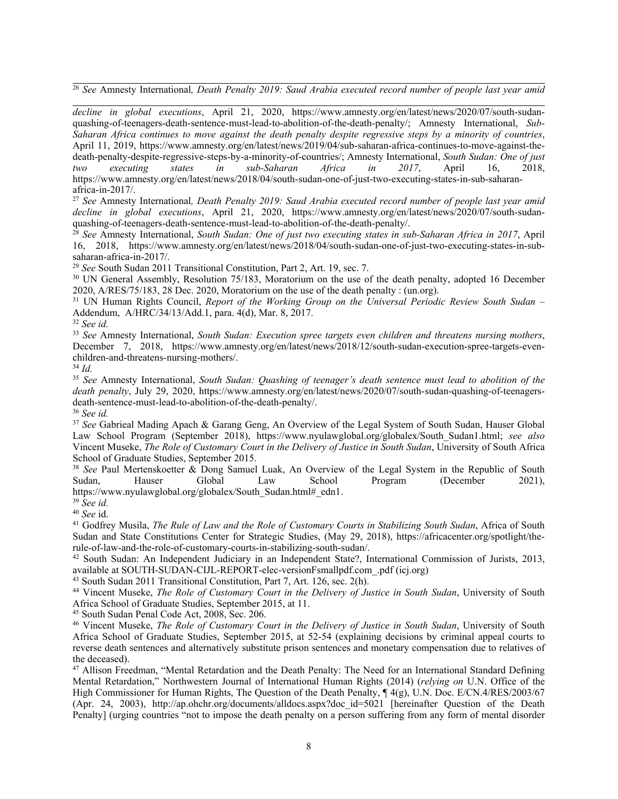26 *See* Amnesty International*, Death Penalty 2019: Saud Arabia executed record number of people last year amid*

*decline in global executions*, April 21, 2020, [https://www.amnesty.org/en/latest/news/2020/07/south-sudan](https://www.amnesty.org/en/latest/news/2020/07/south-sudan-quashing-of-teenagers-death-sentence-must-lead-to-abolition-of-the-death-penalty/)quas[hing-of-teenagers-death-sentence-must-lead-to-abolition-of-the-death-penalty/](https://www.amnesty.org/en/latest/news/2020/07/south-sudan-quashing-of-teenagers-death-sentence-must-lead-to-abolition-of-the-death-penalty/); Amnesty International, *Sub-*Saharan Africa continues to move against the death penalty despite regressive steps by a minority of countries, April 11, 2019, [https://www.amnesty.org/en/latest/news/2019/04/sub-saharan-africa-continues-to-move-against-the](https://www.amnesty.org/en/latest/news/2019/04/sub-saharan-africa-continues-to-move-against-the-death-penalty-despite-regressive-steps-by-a-minority-of-countries/)[death-penalty-despite-regressive-steps-by-a-minority-of-countries/](https://www.amnesty.org/en/latest/news/2019/04/sub-saharan-africa-continues-to-move-against-the-death-penalty-despite-regressive-steps-by-a-minority-of-countries/); Amnesty International, *South Sudan: One of just two executing states in sub-Saharan Africa in 2017*, April 16, 2018, [https://www.amnesty.org/en/latest/news/2018/04/south-sudan-one-of-just-two-executing-states-in-sub-saharan](https://www.amnesty.org/en/latest/news/2018/04/south-sudan-one-of-just-two-executing-states-in-sub-saharan-africa-in-2017/)[africa-in-2017/](https://www.amnesty.org/en/latest/news/2018/04/south-sudan-one-of-just-two-executing-states-in-sub-saharan-africa-in-2017/).

27 *See* Amnesty International*, Death Penalty 2019: Saud Arabia executed record number of people last year amid decline in global executions*, April 21, 2020, [https://www.amnesty.org/en/latest/news/2020/07/south-sudan-](https://www.amnesty.org/en/latest/news/2020/07/south-sudan-quashing-of-teenagers-death-sentence-must-lead-to-abolition-of-the-death-penalty/)

quas[hing-of-teenagers-death-sentence-must-lead-to-abolition-of-the-death-penalty/](https://www.amnesty.org/en/latest/news/2020/07/south-sudan-quashing-of-teenagers-death-sentence-must-lead-to-abolition-of-the-death-penalty/).<br><sup>28</sup> See Amnesty International, South Sudan: One of just two executing states in sub-Saharan Africa in 2017, April 16, 2018, [https://www.amnesty.org/en/latest/news/2018/04/south-sudan-one-of-just-two-executing-states-in-sub](https://www.amnesty.org/en/latest/news/2018/04/south-sudan-one-of-just-two-executing-states-in-sub-saharan-africa-in-2017/)[saharan-africa-in-2017/](https://www.amnesty.org/en/latest/news/2018/04/south-sudan-one-of-just-two-executing-states-in-sub-saharan-africa-in-2017/).

29 *See* South Sudan 2011 Transitional Constitution, Part 2, Art. 19, sec. 7.

<sup>30</sup> UN General Assembly, Resolution 75/183, Moratorium on the use of the death penalty, adopted 16 December 2020, A/RES/75/183, 28 Dec. 2020, [Moratorium](https://digitallibrary.un.org/record/3894866?ln=en) on the use of the death penalty : (un.org).

<sup>31</sup> UN Human Rights Council, *Report of the Working Group on the Universal Periodic Review South Sudan* – Addendum, A/HRC/34/13/Add.1, para. 4(d), Mar. 8, 2017.

32 *See id.*

33 *See* Amnesty International, *South Sudan: Execution spree targets even children and threatens nursing mothers*, December 7, 2018, [https://www.amnesty.org/en/latest/news/2018/12/south-sudan-execution-spree-targets-even](https://www.amnesty.org/en/latest/news/2018/12/south-sudan-execution-spree-targets-even-children-and-threatens-nursing-mothers/)[children-and-threatens-nursing-mothers/](https://www.amnesty.org/en/latest/news/2018/12/south-sudan-execution-spree-targets-even-children-and-threatens-nursing-mothers/).

34 *Id.*

35 *See* Amnesty International, *South Sudan: Quashing of teenager'<sup>s</sup> death sentence must lead to abolition of the death penalty*, July 29, 2020, [https://www.amnesty.org/en/latest/news/2020/07/south-sudan-quashing-of-teenagers](https://www.amnesty.org/en/latest/news/2020/07/south-sudan-quashing-of-teenagers-death-sentence-must-lead-to-abolition-of-the-death-penalty/)[death-sentence-must-lead-to-abolition-of-the-death-penalty/](https://www.amnesty.org/en/latest/news/2020/07/south-sudan-quashing-of-teenagers-death-sentence-must-lead-to-abolition-of-the-death-penalty/).

36 *See id.*

37 *See* Gabrieal Mading Apach & Garang Geng, An Overview of the Legal System of South Sudan, Hauser Global Law School Program (September 2018), [https://www.nyulawglobal.org/globalex/South](https://www.nyulawglobal.org/globalex/South_Sudan1.html)\_[Sudan1.html](https://www.nyulawglobal.org/globalex/South_Sudan1.html); *see also* Vincent Museke, *The Role of Customary Court in the Delivery of Justice in South Sudan*, University of South Africa School of Graduate Studies, September 2015.

38 *See* Paul Mertenskoetter & Dong Samuel Luak, An Overview of the Legal System in the Republic of South Sudan, Hauser Global Law School Program (December 2021), [https://www.nyulawglobal.org/globalex/South\\_Sudan.html#\\_edn1](https://www.nyulawglobal.org/globalex/South_Sudan.html#_edn1).

39 *See id.*

40 *See* id.

<sup>41</sup> Godfrey Musila, *The Rule of Law and the Role of Customary Courts in Stabilizing South Sudan*, Africa of South Sudan and State Constitutions Center for Strategic Studies, (May 29, 2018), [https://africacenter.org/spotlight/the](https://africacenter.org/spotlight/the-rule-of-law-and-the-role-of-customary-courts-in-stabilizing-south-sudan/)[rule-of-law-and-the-role-of-customary-courts-in-stabilizing-south-sudan/](https://africacenter.org/spotlight/the-rule-of-law-and-the-role-of-customary-courts-in-stabilizing-south-sudan/).

42 South Sudan: An Independent Judiciary in an Independent State?, International Commission of Jurists, 2013, available at [SOUTH-SUDAN-CIJL-REPORT-elec-versionFsmallpdf.com\\_.pdf](http://www.icj.org/wp-content/uploads/2013/12/SOUTH-SUDAN-CIJL-REPORT-elec-versionFsmallpdf.com_.pdf) (icj.org)

43 South Sudan 2011 Transitional Constitution, Part 7, Art. 126, sec. 2(h).

<sup>44</sup> Vincent Museke, *The Role of Customary Court in the Delivery of Justice in South Sudan*, University of South Africa School of Graduate Studies, September 2015, at 11.

45 South Sudan Penal Code Act, 2008, Sec. 206.

<sup>46</sup> Vincent Museke, *The Role of Customary Court in the Delivery of Justice in South Sudan*, University of South Africa School of Graduate Studies, September 2015, at 52-54 (explaining decisions by criminal appeal courts to reverse death sentences and alternatively substitute prison sentences and monetary compensation due to relatives of the deceased).

<sup>47</sup> Allison Freedman, "Mental Retardation and the Death Penalty: The Need for an International Standard Defining Mental Retardation," Northwestern Journal of International Human Rights (2014) (*relying on* U.N. Office of the High Commissioner for Human Rights, The Question of the Death Penalty,  $\P$  4(g), U.N. Doc. E/CN.4/RES/2003/67 (Apr. 24, 2003), http://ap.ohchr.org/documents/alldocs.aspx?doc\_id=5021 [hereinafter Question of the Death Penalty] (urging countries "not to impose the death penalty on <sup>a</sup> person suffering from any form of mental disorder